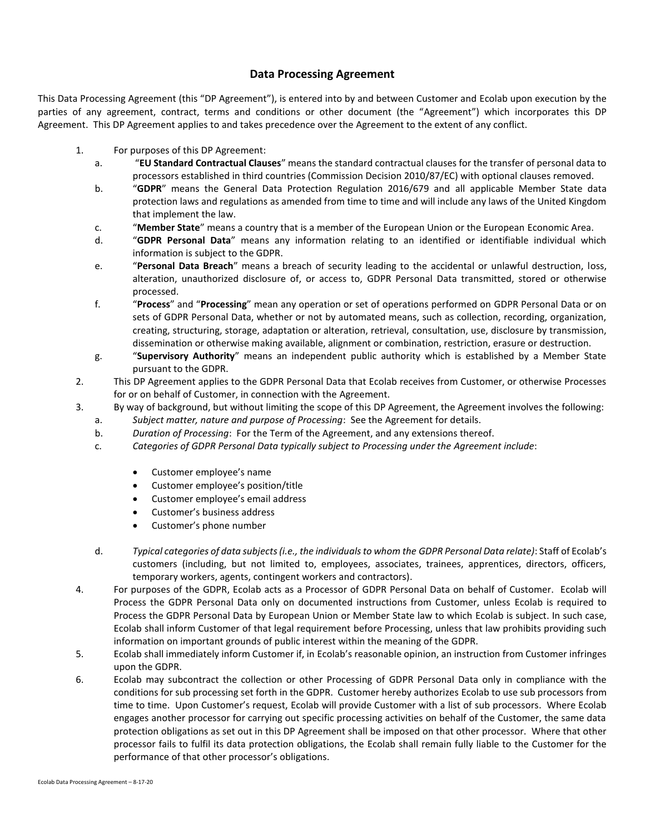## **Data Processing Agreement**

This Data Processing Agreement (this "DP Agreement"), is entered into by and between Customer and Ecolab upon execution by the parties of any agreement, contract, terms and conditions or other document (the "Agreement") which incorporates this DP Agreement. This DP Agreement applies to and takes precedence over the Agreement to the extent of any conflict.

- 1. For purposes of this DP Agreement:
	- a. "**EU Standard Contractual Clauses**" means the standard contractual clauses for the transfer of personal data to processors established in third countries (Commission Decision 2010/87/EC) with optional clauses removed.
	- b. "**GDPR**" means the General Data Protection Regulation 2016/679 and all applicable Member State data protection laws and regulations as amended from time to time and will include any laws of the United Kingdom that implement the law.
	- c. "**Member State**" means a country that is a member of the European Union or the European Economic Area.
	- d. "**GDPR Personal Data**" means any information relating to an identified or identifiable individual which information is subject to the GDPR.
	- e. "**Personal Data Breach**" means a breach of security leading to the accidental or unlawful destruction, loss, alteration, unauthorized disclosure of, or access to, GDPR Personal Data transmitted, stored or otherwise processed.
	- f. "**Process**" and "**Processing**" mean any operation or set of operations performed on GDPR Personal Data or on sets of GDPR Personal Data, whether or not by automated means, such as collection, recording, organization, creating, structuring, storage, adaptation or alteration, retrieval, consultation, use, disclosure by transmission, dissemination or otherwise making available, alignment or combination, restriction, erasure or destruction.
	- g. "**Supervisory Authority**" means an independent public authority which is established by a Member State pursuant to the GDPR.
- 2. This DP Agreement applies to the GDPR Personal Data that Ecolab receives from Customer, or otherwise Processes for or on behalf of Customer, in connection with the Agreement.
- 3. By way of background, but without limiting the scope of this DP Agreement, the Agreement involves the following:
	- a. *Subject matter, nature and purpose of Processing*: See the Agreement for details.
	- b. *Duration of Processing*: For the Term of the Agreement, and any extensions thereof.
	- c. *Categories of GDPR Personal Data typically subject to Processing under the Agreement include*:
		- Customer employee's name
		- Customer employee's position/title
		- Customer employee's email address
		- Customer's business address
		- Customer's phone number
	- d. *Typical categories of data subjects (i.e., the individuals to whom the GDPR Personal Data relate)*: Staff of Ecolab's customers (including, but not limited to, employees, associates, trainees, apprentices, directors, officers, temporary workers, agents, contingent workers and contractors).
- 4. For purposes of the GDPR, Ecolab acts as a Processor of GDPR Personal Data on behalf of Customer. Ecolab will Process the GDPR Personal Data only on documented instructions from Customer, unless Ecolab is required to Process the GDPR Personal Data by European Union or Member State law to which Ecolab is subject. In such case, Ecolab shall inform Customer of that legal requirement before Processing, unless that law prohibits providing such information on important grounds of public interest within the meaning of the GDPR.
- 5. Ecolab shall immediately inform Customer if, in Ecolab's reasonable opinion, an instruction from Customer infringes upon the GDPR.
- 6. Ecolab may subcontract the collection or other Processing of GDPR Personal Data only in compliance with the conditions for sub processing set forth in the GDPR. Customer hereby authorizes Ecolab to use sub processors from time to time. Upon Customer's request, Ecolab will provide Customer with a list of sub processors. Where Ecolab engages another processor for carrying out specific processing activities on behalf of the Customer, the same data protection obligations as set out in this DP Agreement shall be imposed on that other processor. Where that other processor fails to fulfil its data protection obligations, the Ecolab shall remain fully liable to the Customer for the performance of that other processor's obligations.